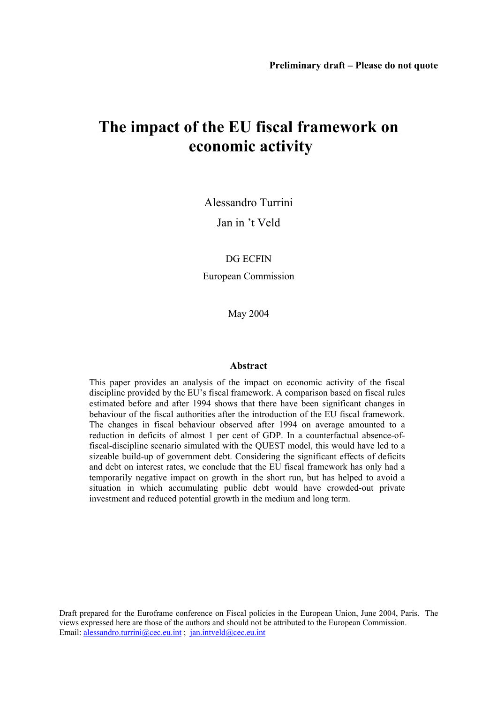# **The impact of the EU fiscal framework on economic activity**

Alessandro Turrini

Jan in 't Veld

DG ECFIN

European Commission

May 2004

#### **Abstract**

This paper provides an analysis of the impact on economic activity of the fiscal discipline provided by the EU's fiscal framework. A comparison based on fiscal rules estimated before and after 1994 shows that there have been significant changes in behaviour of the fiscal authorities after the introduction of the EU fiscal framework. The changes in fiscal behaviour observed after 1994 on average amounted to a reduction in deficits of almost 1 per cent of GDP. In a counterfactual absence-offiscal-discipline scenario simulated with the QUEST model, this would have led to a sizeable build-up of government debt. Considering the significant effects of deficits and debt on interest rates, we conclude that the EU fiscal framework has only had a temporarily negative impact on growth in the short run, but has helped to avoid a situation in which accumulating public debt would have crowded-out private investment and reduced potential growth in the medium and long term.

Draft prepared for the Euroframe conference on Fiscal policies in the European Union, June 2004, Paris. The views expressed here are those of the authors and should not be attributed to the European Commission. Email: alessandro.turrini@cec.eu.int; jan.intveld@cec.eu.int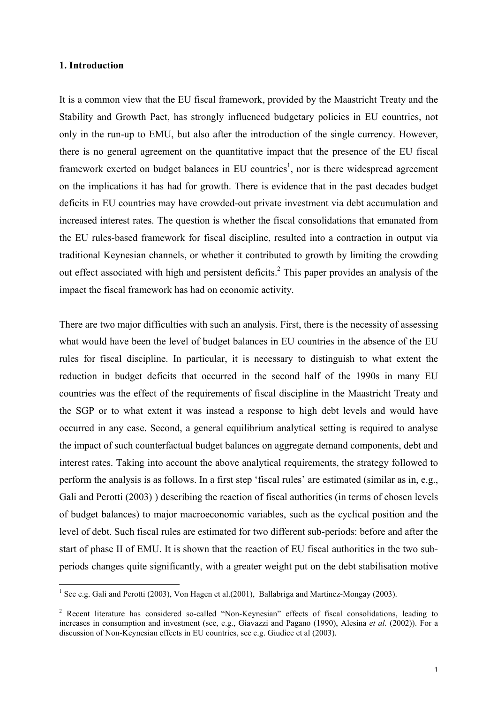#### **1. Introduction**

It is a common view that the EU fiscal framework, provided by the Maastricht Treaty and the Stability and Growth Pact, has strongly influenced budgetary policies in EU countries, not only in the run-up to EMU, but also after the introduction of the single currency. However, there is no general agreement on the quantitative impact that the presence of the EU fiscal framework exerted on budget balances in EU countries<sup>1</sup>, nor is there widespread agreement on the implications it has had for growth. There is evidence that in the past decades budget deficits in EU countries may have crowded-out private investment via debt accumulation and increased interest rates. The question is whether the fiscal consolidations that emanated from the EU rules-based framework for fiscal discipline, resulted into a contraction in output via traditional Keynesian channels, or whether it contributed to growth by limiting the crowding out effect associated with high and persistent deficits.<sup>2</sup> This paper provides an analysis of the impact the fiscal framework has had on economic activity.

There are two major difficulties with such an analysis. First, there is the necessity of assessing what would have been the level of budget balances in EU countries in the absence of the EU rules for fiscal discipline. In particular, it is necessary to distinguish to what extent the reduction in budget deficits that occurred in the second half of the 1990s in many EU countries was the effect of the requirements of fiscal discipline in the Maastricht Treaty and the SGP or to what extent it was instead a response to high debt levels and would have occurred in any case. Second, a general equilibrium analytical setting is required to analyse the impact of such counterfactual budget balances on aggregate demand components, debt and interest rates. Taking into account the above analytical requirements, the strategy followed to perform the analysis is as follows. In a first step 'fiscal rules' are estimated (similar as in, e.g., Gali and Perotti (2003) ) describing the reaction of fiscal authorities (in terms of chosen levels of budget balances) to major macroeconomic variables, such as the cyclical position and the level of debt. Such fiscal rules are estimated for two different sub-periods: before and after the start of phase II of EMU. It is shown that the reaction of EU fiscal authorities in the two subperiods changes quite significantly, with a greater weight put on the debt stabilisation motive

<sup>&</sup>lt;sup>1</sup> See e.g. Gali and Perotti (2003), Von Hagen et al. (2001), Ballabriga and Martinez-Mongay (2003).

<sup>&</sup>lt;sup>2</sup> Recent literature has considered so-called "Non-Keynesian" effects of fiscal consolidations, leading to increases in consumption and investment (see, e.g., Giavazzi and Pagano (1990), Alesina *et al.* (2002)). For a discussion of Non-Keynesian effects in EU countries, see e.g. Giudice et al (2003).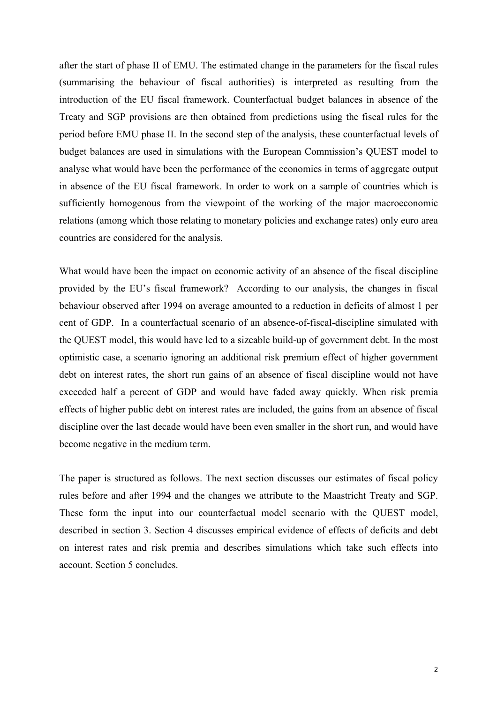after the start of phase II of EMU. The estimated change in the parameters for the fiscal rules (summarising the behaviour of fiscal authorities) is interpreted as resulting from the introduction of the EU fiscal framework. Counterfactual budget balances in absence of the Treaty and SGP provisions are then obtained from predictions using the fiscal rules for the period before EMU phase II. In the second step of the analysis, these counterfactual levels of budget balances are used in simulations with the European Commission's QUEST model to analyse what would have been the performance of the economies in terms of aggregate output in absence of the EU fiscal framework. In order to work on a sample of countries which is sufficiently homogenous from the viewpoint of the working of the major macroeconomic relations (among which those relating to monetary policies and exchange rates) only euro area countries are considered for the analysis.

What would have been the impact on economic activity of an absence of the fiscal discipline provided by the EU's fiscal framework? According to our analysis, the changes in fiscal behaviour observed after 1994 on average amounted to a reduction in deficits of almost 1 per cent of GDP. In a counterfactual scenario of an absence-of-fiscal-discipline simulated with the QUEST model, this would have led to a sizeable build-up of government debt. In the most optimistic case, a scenario ignoring an additional risk premium effect of higher government debt on interest rates, the short run gains of an absence of fiscal discipline would not have exceeded half a percent of GDP and would have faded away quickly. When risk premia effects of higher public debt on interest rates are included, the gains from an absence of fiscal discipline over the last decade would have been even smaller in the short run, and would have become negative in the medium term.

The paper is structured as follows. The next section discusses our estimates of fiscal policy rules before and after 1994 and the changes we attribute to the Maastricht Treaty and SGP. These form the input into our counterfactual model scenario with the QUEST model, described in section 3. Section 4 discusses empirical evidence of effects of deficits and debt on interest rates and risk premia and describes simulations which take such effects into account. Section 5 concludes.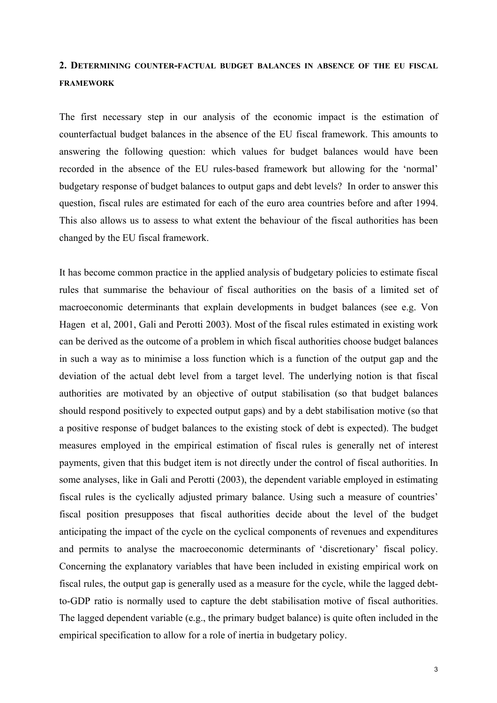## **2. DETERMINING COUNTER-FACTUAL BUDGET BALANCES IN ABSENCE OF THE EU FISCAL FRAMEWORK**

The first necessary step in our analysis of the economic impact is the estimation of counterfactual budget balances in the absence of the EU fiscal framework. This amounts to answering the following question: which values for budget balances would have been recorded in the absence of the EU rules-based framework but allowing for the 'normal' budgetary response of budget balances to output gaps and debt levels? In order to answer this question, fiscal rules are estimated for each of the euro area countries before and after 1994. This also allows us to assess to what extent the behaviour of the fiscal authorities has been changed by the EU fiscal framework.

It has become common practice in the applied analysis of budgetary policies to estimate fiscal rules that summarise the behaviour of fiscal authorities on the basis of a limited set of macroeconomic determinants that explain developments in budget balances (see e.g. Von Hagen et al, 2001, Gali and Perotti 2003). Most of the fiscal rules estimated in existing work can be derived as the outcome of a problem in which fiscal authorities choose budget balances in such a way as to minimise a loss function which is a function of the output gap and the deviation of the actual debt level from a target level. The underlying notion is that fiscal authorities are motivated by an objective of output stabilisation (so that budget balances should respond positively to expected output gaps) and by a debt stabilisation motive (so that a positive response of budget balances to the existing stock of debt is expected). The budget measures employed in the empirical estimation of fiscal rules is generally net of interest payments, given that this budget item is not directly under the control of fiscal authorities. In some analyses, like in Gali and Perotti (2003), the dependent variable employed in estimating fiscal rules is the cyclically adjusted primary balance. Using such a measure of countries' fiscal position presupposes that fiscal authorities decide about the level of the budget anticipating the impact of the cycle on the cyclical components of revenues and expenditures and permits to analyse the macroeconomic determinants of 'discretionary' fiscal policy. Concerning the explanatory variables that have been included in existing empirical work on fiscal rules, the output gap is generally used as a measure for the cycle, while the lagged debtto-GDP ratio is normally used to capture the debt stabilisation motive of fiscal authorities. The lagged dependent variable (e.g., the primary budget balance) is quite often included in the empirical specification to allow for a role of inertia in budgetary policy.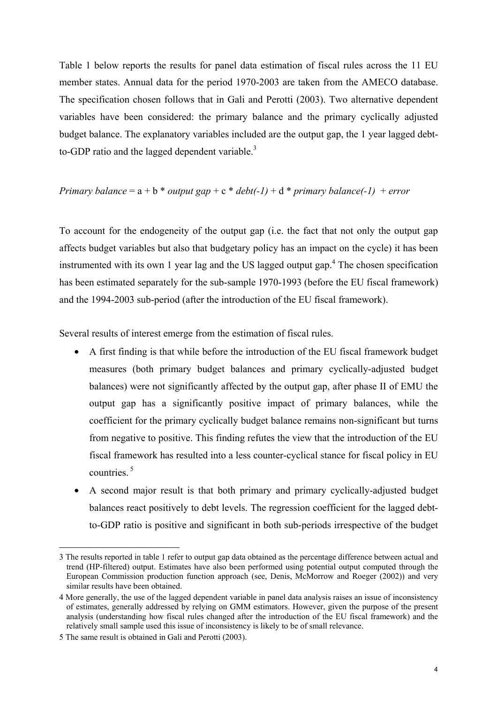Table 1 below reports the results for panel data estimation of fiscal rules across the 11 EU member states. Annual data for the period 1970-2003 are taken from the AMECO database. The specification chosen follows that in Gali and Perotti (2003). Two alternative dependent variables have been considered: the primary balance and the primary cyclically adjusted budget balance. The explanatory variables included are the output gap, the 1 year lagged debtto-GDP ratio and the lagged dependent variable. $3$ 

### *Primary balance* =  $a + b * output gap + c * debt(-1) + d * primary balance(-1) + error$

To account for the endogeneity of the output gap (i.e. the fact that not only the output gap affects budget variables but also that budgetary policy has an impact on the cycle) it has been instrumented with its own 1 year lag and the US lagged output gap.<sup>4</sup> The chosen specification has been estimated separately for the sub-sample 1970-1993 (before the EU fiscal framework) and the 1994-2003 sub-period (after the introduction of the EU fiscal framework).

Several results of interest emerge from the estimation of fiscal rules.

- A first finding is that while before the introduction of the EU fiscal framework budget measures (both primary budget balances and primary cyclically-adjusted budget balances) were not significantly affected by the output gap, after phase II of EMU the output gap has a significantly positive impact of primary balances, while the coefficient for the primary cyclically budget balance remains non-significant but turns from negative to positive. This finding refutes the view that the introduction of the EU fiscal framework has resulted into a less counter-cyclical stance for fiscal policy in EU countries.<sup>5</sup>
- A second major result is that both primary and primary cyclically-adjusted budget balances react positively to debt levels. The regression coefficient for the lagged debtto-GDP ratio is positive and significant in both sub-periods irrespective of the budget

<sup>3</sup> The results reported in table 1 refer to output gap data obtained as the percentage difference between actual and trend (HP-filtered) output. Estimates have also been performed using potential output computed through the European Commission production function approach (see, Denis, McMorrow and Roeger (2002)) and very similar results have been obtained.

<sup>4</sup> More generally, the use of the lagged dependent variable in panel data analysis raises an issue of inconsistency of estimates, generally addressed by relying on GMM estimators. However, given the purpose of the present analysis (understanding how fiscal rules changed after the introduction of the EU fiscal framework) and the relatively small sample used this issue of inconsistency is likely to be of small relevance.

<sup>5</sup> The same result is obtained in Gali and Perotti (2003).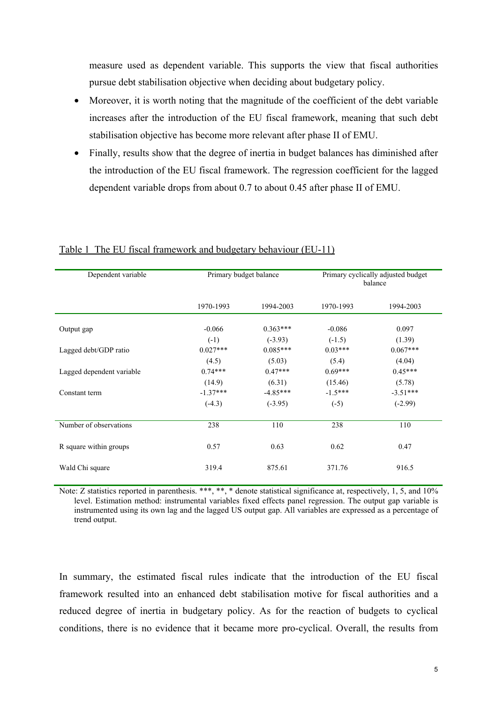measure used as dependent variable. This supports the view that fiscal authorities pursue debt stabilisation objective when deciding about budgetary policy.

- Moreover, it is worth noting that the magnitude of the coefficient of the debt variable increases after the introduction of the EU fiscal framework, meaning that such debt stabilisation objective has become more relevant after phase II of EMU.
- Finally, results show that the degree of inertia in budget balances has diminished after the introduction of the EU fiscal framework. The regression coefficient for the lagged dependent variable drops from about 0.7 to about 0.45 after phase II of EMU.

| Dependent variable        | Primary budget balance |                         | Primary cyclically adjusted budget<br>balance |                         |  |  |
|---------------------------|------------------------|-------------------------|-----------------------------------------------|-------------------------|--|--|
|                           | 1970-1993              | 1994-2003               | 1970-1993                                     | 1994-2003               |  |  |
| Output gap                | $-0.066$<br>$(-1)$     | $0.363***$<br>$(-3.93)$ | $-0.086$<br>$(-1.5)$                          | 0.097<br>(1.39)         |  |  |
| Lagged debt/GDP ratio     | $0.027***$<br>(4.5)    | $0.085***$<br>(5.03)    | $0.03***$<br>(5.4)                            | $0.067***$<br>(4.04)    |  |  |
| Lagged dependent variable | $0.74***$<br>(14.9)    | $0.47***$<br>(6.31)     | $0.69***$<br>(15.46)                          | $0.45***$<br>(5.78)     |  |  |
| Constant term             | $-1.37***$<br>$(-4.3)$ | $-4.85***$<br>$(-3.95)$ | $-1.5***$<br>$(-5)$                           | $-3.51***$<br>$(-2.99)$ |  |  |
| Number of observations    | 238                    | 110                     | 238                                           | 110                     |  |  |
| R square within groups    | 0.57                   | 0.63                    | 0.62                                          | 0.47                    |  |  |
| Wald Chi square           | 319.4                  | 875.61                  | 371.76                                        | 916.5                   |  |  |

#### Table 1 The EU fiscal framework and budgetary behaviour (EU-11)

Note: Z statistics reported in parenthesis. \*\*\*, \*\*, \* denote statistical significance at, respectively, 1, 5, and 10% level. Estimation method: instrumental variables fixed effects panel regression. The output gap variable is instrumented using its own lag and the lagged US output gap. All variables are expressed as a percentage of trend output.

In summary, the estimated fiscal rules indicate that the introduction of the EU fiscal framework resulted into an enhanced debt stabilisation motive for fiscal authorities and a reduced degree of inertia in budgetary policy. As for the reaction of budgets to cyclical conditions, there is no evidence that it became more pro-cyclical. Overall, the results from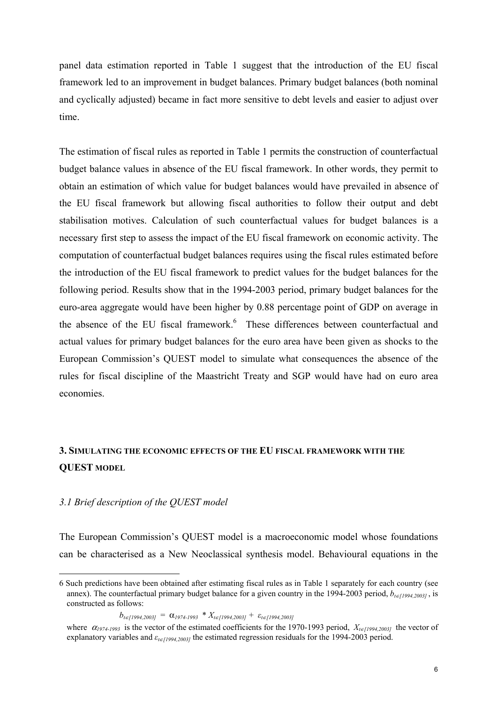panel data estimation reported in Table 1 suggest that the introduction of the EU fiscal framework led to an improvement in budget balances. Primary budget balances (both nominal and cyclically adjusted) became in fact more sensitive to debt levels and easier to adjust over time.

The estimation of fiscal rules as reported in Table 1 permits the construction of counterfactual budget balance values in absence of the EU fiscal framework. In other words, they permit to obtain an estimation of which value for budget balances would have prevailed in absence of the EU fiscal framework but allowing fiscal authorities to follow their output and debt stabilisation motives. Calculation of such counterfactual values for budget balances is a necessary first step to assess the impact of the EU fiscal framework on economic activity. The computation of counterfactual budget balances requires using the fiscal rules estimated before the introduction of the EU fiscal framework to predict values for the budget balances for the following period. Results show that in the 1994-2003 period, primary budget balances for the euro-area aggregate would have been higher by 0.88 percentage point of GDP on average in the absence of the EU fiscal framework.<sup>6</sup> These differences between counterfactual and actual values for primary budget balances for the euro area have been given as shocks to the European Commission's QUEST model to simulate what consequences the absence of the rules for fiscal discipline of the Maastricht Treaty and SGP would have had on euro area economies.

# **3. SIMULATING THE ECONOMIC EFFECTS OF THE EU FISCAL FRAMEWORK WITH THE QUEST MODEL**

### *3.1 Brief description of the QUEST model*

 $\overline{a}$ 

The European Commission's QUEST model is a macroeconomic model whose foundations can be characterised as a New Neoclassical synthesis model. Behavioural equations in the

```
b_{t \in [1994, 2003]} = \alpha_{1974-1993} * X_{t \in [1994, 2003]} + \varepsilon_{t \in [1994, 2003]}
```
<sup>6</sup> Such predictions have been obtained after estimating fiscal rules as in Table 1 separately for each country (see annex). The counterfactual primary budget balance for a given country in the 1994-2003 period,  $b_{te[1994,2003]}$ , is constructed as follows:

where  $\alpha_{1974-1993}$  is the vector of the estimated coefficients for the 1970-1993 period,  $X_{1671994,20031}$  the vector of explanatory variables and  $\varepsilon$ <sub>*t*∈*[1994,2003]* the estimated regression residuals for the 1994-2003 period.</sub>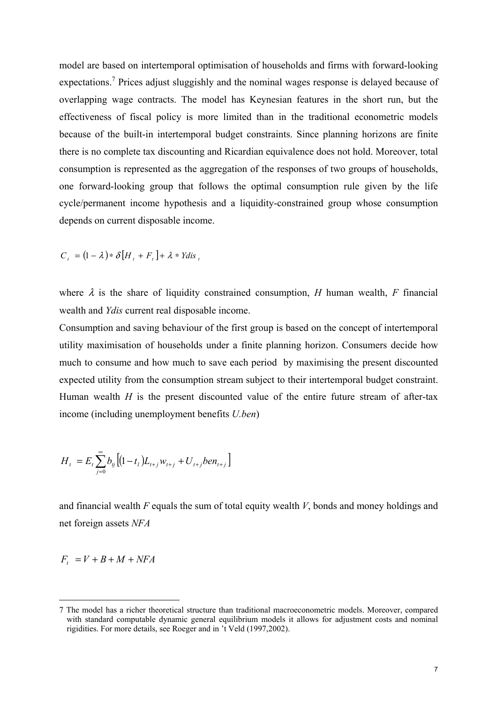model are based on intertemporal optimisation of households and firms with forward-looking expectations.<sup>7</sup> Prices adjust sluggishly and the nominal wages response is delayed because of overlapping wage contracts. The model has Keynesian features in the short run, but the effectiveness of fiscal policy is more limited than in the traditional econometric models because of the built-in intertemporal budget constraints. Since planning horizons are finite there is no complete tax discounting and Ricardian equivalence does not hold. Moreover, total consumption is represented as the aggregation of the responses of two groups of households, one forward-looking group that follows the optimal consumption rule given by the life cycle/permanent income hypothesis and a liquidity-constrained group whose consumption depends on current disposable income.

$$
C_t = (1 - \lambda) * \delta [H_t + F_t] + \lambda * Y \, \text{dis} \, t
$$

where  $\lambda$  is the share of liquidity constrained consumption, *H* human wealth, *F* financial wealth and *Ydis* current real disposable income.

Consumption and saving behaviour of the first group is based on the concept of intertemporal utility maximisation of households under a finite planning horizon. Consumers decide how much to consume and how much to save each period by maximising the present discounted expected utility from the consumption stream subject to their intertemporal budget constraint. Human wealth *H* is the present discounted value of the entire future stream of after-tax income (including unemployment benefits *U.ben*)

$$
H_t = E_t \sum_{j=0}^{\infty} b_{tj} \left[ (1 - t_t) L_{t+j} w_{t+j} + U_{t+j} \text{ben}_{t+j} \right]
$$

and financial wealth *F* equals the sum of total equity wealth *V*, bonds and money holdings and net foreign assets *NFA*

$$
F_t = V + B + M + NFA
$$

<sup>7</sup> The model has a richer theoretical structure than traditional macroeconometric models. Moreover, compared with standard computable dynamic general equilibrium models it allows for adjustment costs and nominal rigidities. For more details, see Roeger and in 't Veld (1997,2002).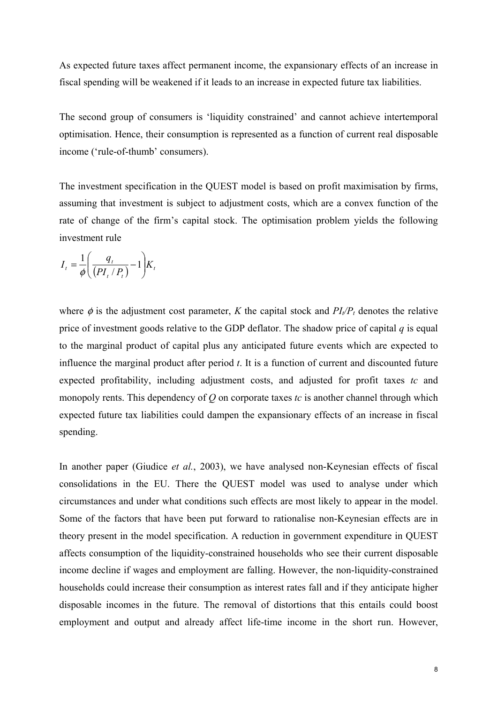As expected future taxes affect permanent income, the expansionary effects of an increase in fiscal spending will be weakened if it leads to an increase in expected future tax liabilities.

The second group of consumers is 'liquidity constrained' and cannot achieve intertemporal optimisation. Hence, their consumption is represented as a function of current real disposable income ('rule-of-thumb' consumers).

The investment specification in the QUEST model is based on profit maximisation by firms, assuming that investment is subject to adjustment costs, which are a convex function of the rate of change of the firm's capital stock. The optimisation problem yields the following investment rule

$$
I_t = \frac{1}{\phi} \left( \frac{q_t}{\left(PI_t/P_t\right)} - 1 \right) K_t
$$

where  $\phi$  is the adjustment cost parameter, *K* the capital stock and  $PI_{t}/P_{t}$  denotes the relative price of investment goods relative to the GDP deflator. The shadow price of capital *q* is equal to the marginal product of capital plus any anticipated future events which are expected to influence the marginal product after period *t*. It is a function of current and discounted future expected profitability, including adjustment costs, and adjusted for profit taxes *tc* and monopoly rents. This dependency of *Q* on corporate taxes *tc* is another channel through which expected future tax liabilities could dampen the expansionary effects of an increase in fiscal spending.

In another paper (Giudice *et al.*, 2003), we have analysed non-Keynesian effects of fiscal consolidations in the EU. There the QUEST model was used to analyse under which circumstances and under what conditions such effects are most likely to appear in the model. Some of the factors that have been put forward to rationalise non-Keynesian effects are in theory present in the model specification. A reduction in government expenditure in QUEST affects consumption of the liquidity-constrained households who see their current disposable income decline if wages and employment are falling. However, the non-liquidity-constrained households could increase their consumption as interest rates fall and if they anticipate higher disposable incomes in the future. The removal of distortions that this entails could boost employment and output and already affect life-time income in the short run. However,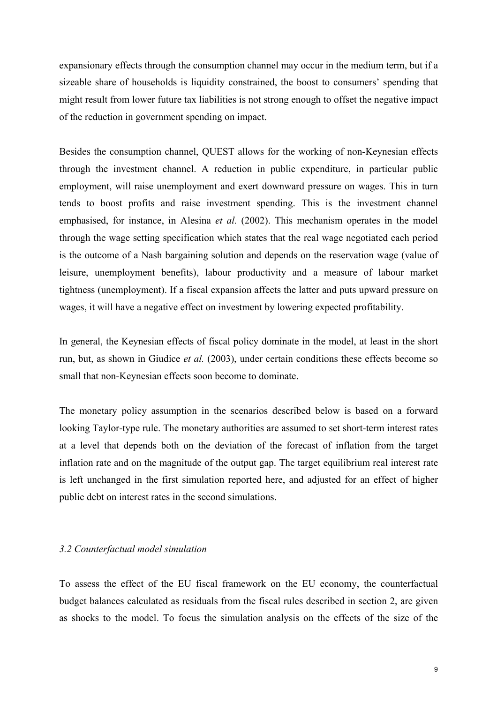expansionary effects through the consumption channel may occur in the medium term, but if a sizeable share of households is liquidity constrained, the boost to consumers' spending that might result from lower future tax liabilities is not strong enough to offset the negative impact of the reduction in government spending on impact.

Besides the consumption channel, QUEST allows for the working of non-Keynesian effects through the investment channel. A reduction in public expenditure, in particular public employment, will raise unemployment and exert downward pressure on wages. This in turn tends to boost profits and raise investment spending. This is the investment channel emphasised, for instance, in Alesina *et al.* (2002). This mechanism operates in the model through the wage setting specification which states that the real wage negotiated each period is the outcome of a Nash bargaining solution and depends on the reservation wage (value of leisure, unemployment benefits), labour productivity and a measure of labour market tightness (unemployment). If a fiscal expansion affects the latter and puts upward pressure on wages, it will have a negative effect on investment by lowering expected profitability.

In general, the Keynesian effects of fiscal policy dominate in the model, at least in the short run, but, as shown in Giudice *et al.* (2003), under certain conditions these effects become so small that non-Keynesian effects soon become to dominate.

The monetary policy assumption in the scenarios described below is based on a forward looking Taylor-type rule. The monetary authorities are assumed to set short-term interest rates at a level that depends both on the deviation of the forecast of inflation from the target inflation rate and on the magnitude of the output gap. The target equilibrium real interest rate is left unchanged in the first simulation reported here, and adjusted for an effect of higher public debt on interest rates in the second simulations.

#### *3.2 Counterfactual model simulation*

To assess the effect of the EU fiscal framework on the EU economy, the counterfactual budget balances calculated as residuals from the fiscal rules described in section 2, are given as shocks to the model. To focus the simulation analysis on the effects of the size of the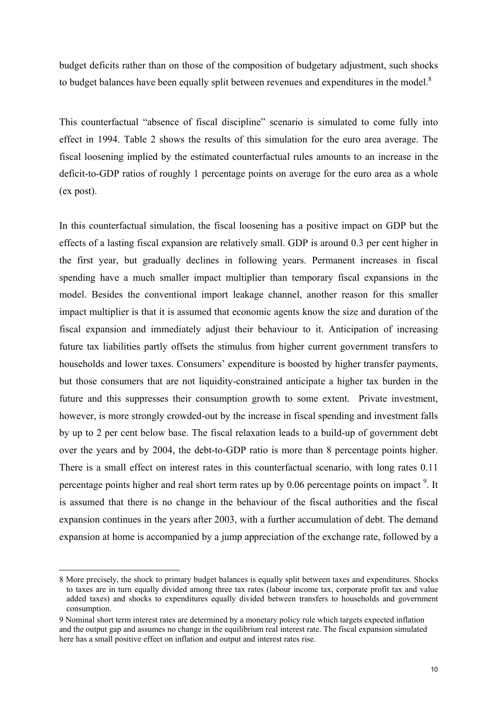budget deficits rather than on those of the composition of budgetary adjustment, such shocks to budget balances have been equally split between revenues and expenditures in the model.<sup>8</sup>

This counterfactual "absence of fiscal discipline" scenario is simulated to come fully into effect in 1994. Table 2 shows the results of this simulation for the euro area average. The fiscal loosening implied by the estimated counterfactual rules amounts to an increase in the deficit-to-GDP ratios of roughly 1 percentage points on average for the euro area as a whole (ex post).

In this counterfactual simulation, the fiscal loosening has a positive impact on GDP but the effects of a lasting fiscal expansion are relatively small. GDP is around 0.3 per cent higher in the first year, but gradually declines in following years. Permanent increases in fiscal spending have a much smaller impact multiplier than temporary fiscal expansions in the model. Besides the conventional import leakage channel, another reason for this smaller impact multiplier is that it is assumed that economic agents know the size and duration of the fiscal expansion and immediately adjust their behaviour to it. Anticipation of increasing future tax liabilities partly offsets the stimulus from higher current government transfers to households and lower taxes. Consumers' expenditure is boosted by higher transfer payments, but those consumers that are not liquidity-constrained anticipate a higher tax burden in the future and this suppresses their consumption growth to some extent. Private investment, however, is more strongly crowded-out by the increase in fiscal spending and investment falls by up to 2 per cent below base. The fiscal relaxation leads to a build-up of government debt over the years and by 2004, the debt-to-GDP ratio is more than 8 percentage points higher. There is a small effect on interest rates in this counterfactual scenario, with long rates 0.11 percentage points higher and real short term rates up by  $0.06$  percentage points on impact<sup>9</sup>. It is assumed that there is no change in the behaviour of the fiscal authorities and the fiscal expansion continues in the years after 2003, with a further accumulation of debt. The demand expansion at home is accompanied by a jump appreciation of the exchange rate, followed by a

<sup>8</sup> More precisely, the shock to primary budget balances is equally split between taxes and expenditures. Shocks to taxes are in turn equally divided among three tax rates (labour income tax, corporate profit tax and value added taxes) and shocks to expenditures equally divided between transfers to households and government consumption.

<sup>9</sup> Nominal short term interest rates are determined by a monetary policy rule which targets expected inflation and the output gap and assumes no change in the equilibrium real interest rate. The fiscal expansion simulated here has a small positive effect on inflation and output and interest rates rise.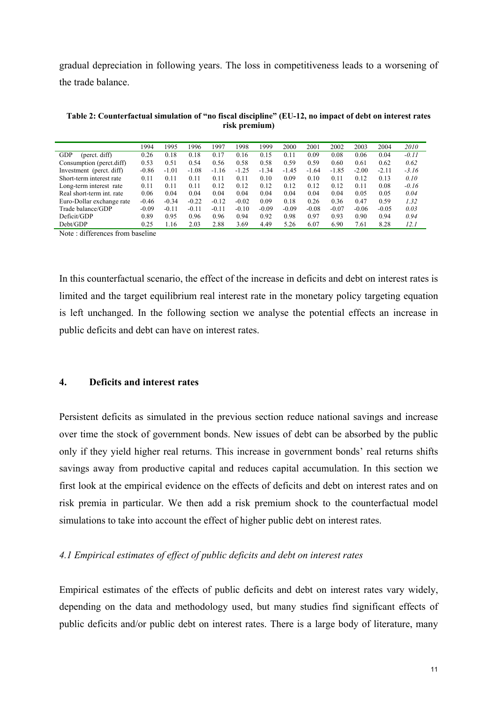gradual depreciation in following years. The loss in competitiveness leads to a worsening of the trade balance.

|                             | 1994    | 1995    | 1996    | 1997    | 1998    | 1999    | 2000    | 2001    | 2002    | 2003    | 2004    | 2010    |
|-----------------------------|---------|---------|---------|---------|---------|---------|---------|---------|---------|---------|---------|---------|
| <b>GDP</b><br>(perct. diff) | 0.26    | 0.18    | 0.18    | 0.17    | 0.16    | 0.15    | 0.11    | 0.09    | 0.08    | 0.06    | 0.04    | $-0.11$ |
| Consumption (perct.diff)    | 0.53    | 0.51    | 0.54    | 0.56    | 0.58    | 0.58    | 0.59    | 0.59    | 0.60    | 0.61    | 0.62    | 0.62    |
| Investment (perct. diff)    | $-0.86$ | $-1.01$ | $-1.08$ | $-1.16$ | $-1.25$ | $-1.34$ | $-1.45$ | $-1.64$ | $-1.85$ | $-2.00$ | $-2.11$ | $-3.16$ |
| Short-term interest rate    | 0.11    | 0.11    | 0.11    | 0.11    | 0.11    | 0.10    | 0.09    | 0.10    | 0.11    | 0.12    | 0.13    | 0.10    |
| Long-term interest rate     | 0.11    | 0.11    | 0.11    | 0.12    | 0.12    | 0.12    | 0.12    | 0.12    | 0.12    | 0.11    | 0.08    | $-0.16$ |
| Real short-term int. rate   | 0.06    | 0.04    | 0.04    | 0.04    | 0.04    | 0.04    | 0.04    | 0.04    | 0.04    | 0.05    | 0.05    | 0.04    |
| Euro-Dollar exchange rate   | $-0.46$ | $-0.34$ | $-0.22$ | $-0.12$ | $-0.02$ | 0.09    | 0.18    | 0.26    | 0.36    | 0.47    | 0.59    | 1.32    |
| Trade balance/GDP           | $-0.09$ | $-0.11$ | $-0.11$ | $-0.11$ | $-0.10$ | $-0.09$ | $-0.09$ | $-0.08$ | $-0.07$ | $-0.06$ | $-0.05$ | 0.03    |
| Deficit/GDP                 | 0.89    | 0.95    | 0.96    | 0.96    | 0.94    | 0.92    | 0.98    | 0.97    | 0.93    | 0.90    | 0.94    | 0.94    |
| Debt/GDP                    | 0.25    | 1.16    | 2.03    | 2.88    | 3.69    | 4.49    | 5.26    | 6.07    | 6.90    | 7.61    | 8.28    | 12.1    |

**Table 2: Counterfactual simulation of "no fiscal discipline" (EU-12, no impact of debt on interest rates risk premium)** 

Note : differences from baseline

In this counterfactual scenario, the effect of the increase in deficits and debt on interest rates is limited and the target equilibrium real interest rate in the monetary policy targeting equation is left unchanged. In the following section we analyse the potential effects an increase in public deficits and debt can have on interest rates.

## **4. Deficits and interest rates**

Persistent deficits as simulated in the previous section reduce national savings and increase over time the stock of government bonds. New issues of debt can be absorbed by the public only if they yield higher real returns. This increase in government bonds' real returns shifts savings away from productive capital and reduces capital accumulation. In this section we first look at the empirical evidence on the effects of deficits and debt on interest rates and on risk premia in particular. We then add a risk premium shock to the counterfactual model simulations to take into account the effect of higher public debt on interest rates.

### *4.1 Empirical estimates of effect of public deficits and debt on interest rates*

Empirical estimates of the effects of public deficits and debt on interest rates vary widely, depending on the data and methodology used, but many studies find significant effects of public deficits and/or public debt on interest rates. There is a large body of literature, many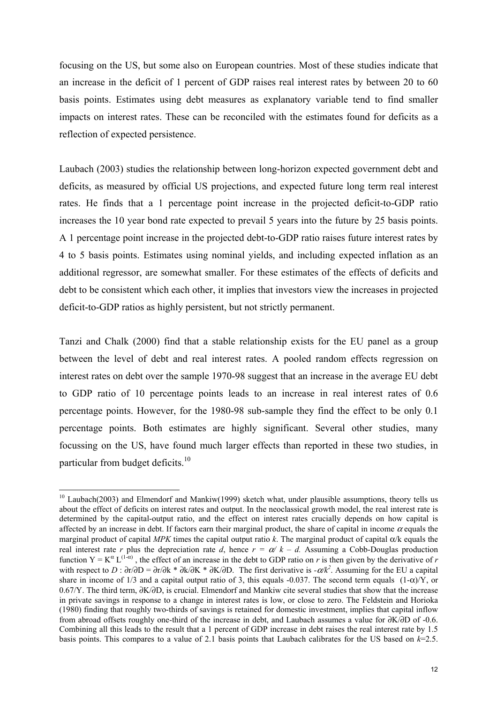focusing on the US, but some also on European countries. Most of these studies indicate that an increase in the deficit of 1 percent of GDP raises real interest rates by between 20 to 60 basis points. Estimates using debt measures as explanatory variable tend to find smaller impacts on interest rates. These can be reconciled with the estimates found for deficits as a reflection of expected persistence.

Laubach (2003) studies the relationship between long-horizon expected government debt and deficits, as measured by official US projections, and expected future long term real interest rates. He finds that a 1 percentage point increase in the projected deficit-to-GDP ratio increases the 10 year bond rate expected to prevail 5 years into the future by 25 basis points. A 1 percentage point increase in the projected debt-to-GDP ratio raises future interest rates by 4 to 5 basis points. Estimates using nominal yields, and including expected inflation as an additional regressor, are somewhat smaller. For these estimates of the effects of deficits and debt to be consistent which each other, it implies that investors view the increases in projected deficit-to-GDP ratios as highly persistent, but not strictly permanent.

Tanzi and Chalk (2000) find that a stable relationship exists for the EU panel as a group between the level of debt and real interest rates. A pooled random effects regression on interest rates on debt over the sample 1970-98 suggest that an increase in the average EU debt to GDP ratio of 10 percentage points leads to an increase in real interest rates of 0.6 percentage points. However, for the 1980-98 sub-sample they find the effect to be only 0.1 percentage points. Both estimates are highly significant. Several other studies, many focussing on the US, have found much larger effects than reported in these two studies, in particular from budget deficits.<sup>10</sup>

 $10$  Laubach(2003) and Elmendorf and Mankiw(1999) sketch what, under plausible assumptions, theory tells us about the effect of deficits on interest rates and output. In the neoclassical growth model, the real interest rate is determined by the capital-output ratio, and the effect on interest rates crucially depends on how capital is affected by an increase in debt. If factors earn their marginal product, the share of capital in income  $\alpha$  equals the marginal product of capital *MPK* times the capital output ratio *k*. The marginal product of capital  $\alpha$ /k equals the real interest rate *r* plus the depreciation rate *d*, hence  $r = \alpha / k - d$ . Assuming a Cobb-Douglas production function  $Y = K^{\alpha} L^{(1-\alpha)}$ , the effect of an increase in the debt to GDP ratio on *r* is then given by the derivative of *r* with respect to *D* :  $\partial r/\partial D = \partial r/\partial k * \partial k/\partial K * \partial K/\partial D$ . The first derivative is  $-\alpha/k^2$ . Assuming for the EU a capital share in income of 1/3 and a capital output ratio of 3, this equals -0.037. The second term equals  $(1-\alpha)$ /Y, or 0.67/Y. The third term, ∂K/∂D, is crucial. Elmendorf and Mankiw cite several studies that show that the increase in private savings in response to a change in interest rates is low, or close to zero. The Feldstein and Horioka (1980) finding that roughly two-thirds of savings is retained for domestic investment, implies that capital inflow from abroad offsets roughly one-third of the increase in debt, and Laubach assumes a value for ∂K/∂D of -0.6. Combining all this leads to the result that a 1 percent of GDP increase in debt raises the real interest rate by 1.5 basis points. This compares to a value of 2.1 basis points that Laubach calibrates for the US based on *k*=2.5.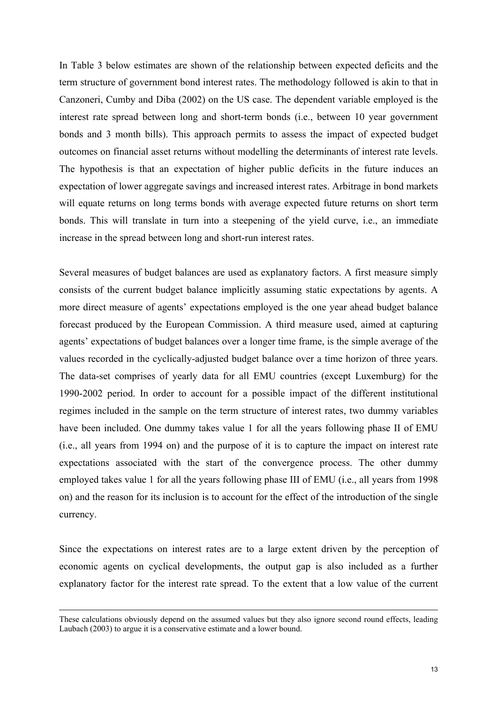In Table 3 below estimates are shown of the relationship between expected deficits and the term structure of government bond interest rates. The methodology followed is akin to that in Canzoneri, Cumby and Diba (2002) on the US case. The dependent variable employed is the interest rate spread between long and short-term bonds (i.e., between 10 year government bonds and 3 month bills). This approach permits to assess the impact of expected budget outcomes on financial asset returns without modelling the determinants of interest rate levels. The hypothesis is that an expectation of higher public deficits in the future induces an expectation of lower aggregate savings and increased interest rates. Arbitrage in bond markets will equate returns on long terms bonds with average expected future returns on short term bonds. This will translate in turn into a steepening of the yield curve, i.e., an immediate increase in the spread between long and short-run interest rates.

Several measures of budget balances are used as explanatory factors. A first measure simply consists of the current budget balance implicitly assuming static expectations by agents. A more direct measure of agents' expectations employed is the one year ahead budget balance forecast produced by the European Commission. A third measure used, aimed at capturing agents' expectations of budget balances over a longer time frame, is the simple average of the values recorded in the cyclically-adjusted budget balance over a time horizon of three years. The data-set comprises of yearly data for all EMU countries (except Luxemburg) for the 1990-2002 period. In order to account for a possible impact of the different institutional regimes included in the sample on the term structure of interest rates, two dummy variables have been included. One dummy takes value 1 for all the years following phase II of EMU (i.e., all years from 1994 on) and the purpose of it is to capture the impact on interest rate expectations associated with the start of the convergence process. The other dummy employed takes value 1 for all the years following phase III of EMU (i.e., all years from 1998 on) and the reason for its inclusion is to account for the effect of the introduction of the single currency.

Since the expectations on interest rates are to a large extent driven by the perception of economic agents on cyclical developments, the output gap is also included as a further explanatory factor for the interest rate spread. To the extent that a low value of the current

These calculations obviously depend on the assumed values but they also ignore second round effects, leading Laubach (2003) to argue it is a conservative estimate and a lower bound.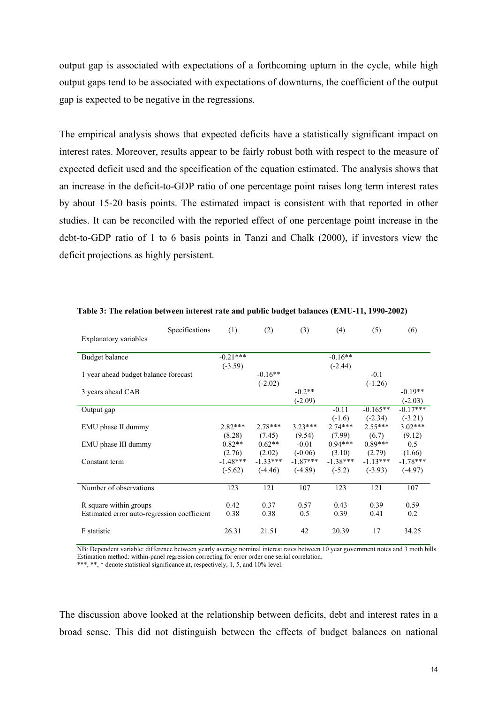output gap is associated with expectations of a forthcoming upturn in the cycle, while high output gaps tend to be associated with expectations of downturns, the coefficient of the output gap is expected to be negative in the regressions.

The empirical analysis shows that expected deficits have a statistically significant impact on interest rates. Moreover, results appear to be fairly robust both with respect to the measure of expected deficit used and the specification of the equation estimated. The analysis shows that an increase in the deficit-to-GDP ratio of one percentage point raises long term interest rates by about 15-20 basis points. The estimated impact is consistent with that reported in other studies. It can be reconciled with the reported effect of one percentage point increase in the debt-to-GDP ratio of 1 to 6 basis points in Tanzi and Chalk (2000), if investors view the deficit projections as highly persistent.

|                                             | Specifications | (1)        | (2)        | (3)        | (4)        | (5)        | (6)        |
|---------------------------------------------|----------------|------------|------------|------------|------------|------------|------------|
| Explanatory variables                       |                |            |            |            |            |            |            |
| <b>Budget balance</b>                       |                | $-0.21***$ |            |            | $-0.16**$  |            |            |
|                                             |                | $(-3.59)$  |            |            | $(-2.44)$  |            |            |
| 1 year ahead budget balance forecast        |                |            | $-0.16**$  |            |            | $-0.1$     |            |
|                                             |                |            | $(-2.02)$  |            |            | $(-1.26)$  |            |
| 3 years ahead CAB                           |                |            |            | $-0.2**$   |            |            | $-0.19**$  |
|                                             |                |            |            | $(-2.09)$  |            |            | $(-2.03)$  |
| Output gap                                  |                |            |            |            | $-0.11$    | $-0.165**$ | $-0.17***$ |
|                                             |                |            |            |            | $(-1.6)$   | $(-2.34)$  | $(-3.21)$  |
| EMU phase II dummy                          |                | $2.82***$  | $2.78***$  | $3.23***$  | $2.74***$  | $2.55***$  | $3.02***$  |
|                                             |                | (8.28)     | (7.45)     | (9.54)     | (7.99)     | (6.7)      | (9.12)     |
| EMU phase III dummy                         |                | $0.82**$   | $0.62**$   | $-0.01$    | $0.94***$  | $0.89***$  | 0.5        |
|                                             |                | (2.76)     | (2.02)     | $(-0.06)$  | (3.10)     | (2.79)     | (1.66)     |
| Constant term                               |                | $-1.48***$ | $-1.33***$ | $-1.87***$ | $-1.38***$ | $-1.13***$ | $-1.78***$ |
|                                             |                | $(-5.62)$  | $(-4.46)$  | $(-4.89)$  | $(-5.2)$   | $(-3.93)$  | $(-4.97)$  |
|                                             |                |            |            |            |            |            |            |
| Number of observations                      |                | 123        | 121        | 107        | 123        | 121        | 107        |
| R square within groups                      |                | 0.42       | 0.37       | 0.57       | 0.43       | 0.39       | 0.59       |
| Estimated error auto-regression coefficient |                | 0.38       | 0.38       | 0.5        | 0.39       | 0.41       | 0.2        |
|                                             |                |            |            |            |            |            |            |
| F statistic                                 |                | 26.31      | 21.51      | 42         | 20.39      | 17         | 34.25      |

**Table 3: The relation between interest rate and public budget balances (EMU-11, 1990-2002)** 

NB: Dependent variable: difference between yearly average nominal interest rates between 10 year government notes and 3 moth bills. Estimation method: within-panel regression correcting for error order one serial correlation. \*\*\*, \*\*, \* denote statistical significance at, respectively, 1, 5, and 10% level.

The discussion above looked at the relationship between deficits, debt and interest rates in a broad sense. This did not distinguish between the effects of budget balances on national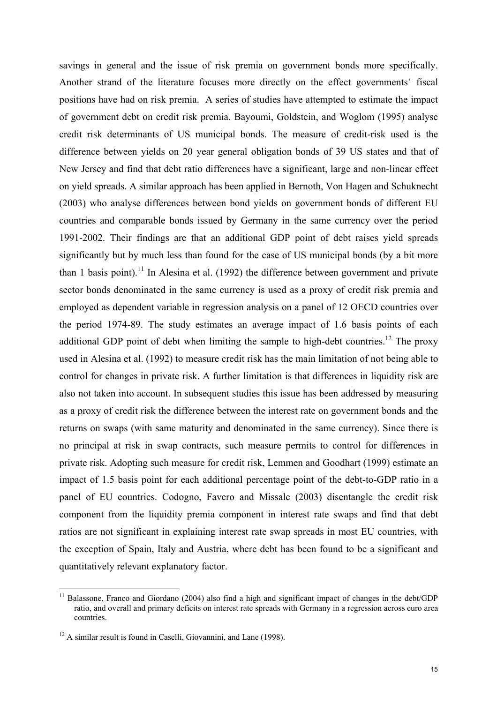savings in general and the issue of risk premia on government bonds more specifically. Another strand of the literature focuses more directly on the effect governments' fiscal positions have had on risk premia. A series of studies have attempted to estimate the impact of government debt on credit risk premia. Bayoumi, Goldstein, and Woglom (1995) analyse credit risk determinants of US municipal bonds. The measure of credit-risk used is the difference between yields on 20 year general obligation bonds of 39 US states and that of New Jersey and find that debt ratio differences have a significant, large and non-linear effect on yield spreads. A similar approach has been applied in Bernoth, Von Hagen and Schuknecht (2003) who analyse differences between bond yields on government bonds of different EU countries and comparable bonds issued by Germany in the same currency over the period 1991-2002. Their findings are that an additional GDP point of debt raises yield spreads significantly but by much less than found for the case of US municipal bonds (by a bit more than 1 basis point).<sup>11</sup> In Alesina et al. (1992) the difference between government and private sector bonds denominated in the same currency is used as a proxy of credit risk premia and employed as dependent variable in regression analysis on a panel of 12 OECD countries over the period 1974-89. The study estimates an average impact of 1.6 basis points of each additional GDP point of debt when limiting the sample to high-debt countries.<sup>12</sup> The proxy used in Alesina et al. (1992) to measure credit risk has the main limitation of not being able to control for changes in private risk. A further limitation is that differences in liquidity risk are also not taken into account. In subsequent studies this issue has been addressed by measuring as a proxy of credit risk the difference between the interest rate on government bonds and the returns on swaps (with same maturity and denominated in the same currency). Since there is no principal at risk in swap contracts, such measure permits to control for differences in private risk. Adopting such measure for credit risk, Lemmen and Goodhart (1999) estimate an impact of 1.5 basis point for each additional percentage point of the debt-to-GDP ratio in a panel of EU countries. Codogno, Favero and Missale (2003) disentangle the credit risk component from the liquidity premia component in interest rate swaps and find that debt ratios are not significant in explaining interest rate swap spreads in most EU countries, with the exception of Spain, Italy and Austria, where debt has been found to be a significant and quantitatively relevant explanatory factor.

<sup>11</sup> Balassone, Franco and Giordano (2004) also find a high and significant impact of changes in the debt/GDP ratio, and overall and primary deficits on interest rate spreads with Germany in a regression across euro area countries.

<sup>&</sup>lt;sup>12</sup> A similar result is found in Caselli, Giovannini, and Lane (1998).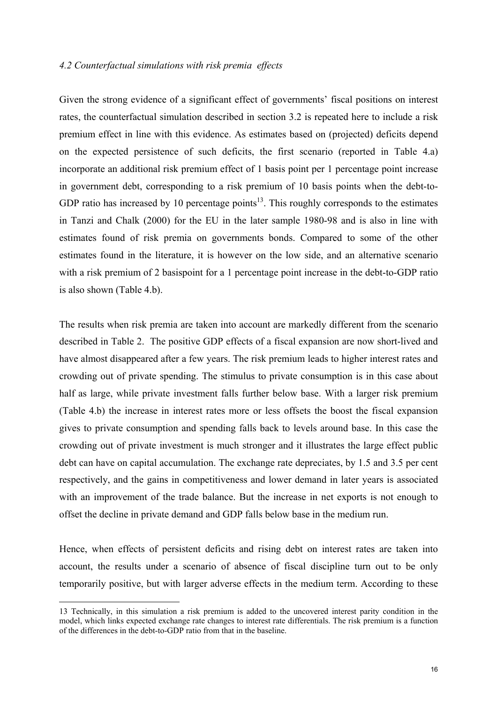#### *4.2 Counterfactual simulations with risk premia effects*

Given the strong evidence of a significant effect of governments' fiscal positions on interest rates, the counterfactual simulation described in section 3.2 is repeated here to include a risk premium effect in line with this evidence. As estimates based on (projected) deficits depend on the expected persistence of such deficits, the first scenario (reported in Table 4.a) incorporate an additional risk premium effect of 1 basis point per 1 percentage point increase in government debt, corresponding to a risk premium of 10 basis points when the debt-to-GDP ratio has increased by 10 percentage points<sup>13</sup>. This roughly corresponds to the estimates in Tanzi and Chalk (2000) for the EU in the later sample 1980-98 and is also in line with estimates found of risk premia on governments bonds. Compared to some of the other estimates found in the literature, it is however on the low side, and an alternative scenario with a risk premium of 2 basispoint for a 1 percentage point increase in the debt-to-GDP ratio is also shown (Table 4.b).

The results when risk premia are taken into account are markedly different from the scenario described in Table 2. The positive GDP effects of a fiscal expansion are now short-lived and have almost disappeared after a few years. The risk premium leads to higher interest rates and crowding out of private spending. The stimulus to private consumption is in this case about half as large, while private investment falls further below base. With a larger risk premium (Table 4.b) the increase in interest rates more or less offsets the boost the fiscal expansion gives to private consumption and spending falls back to levels around base. In this case the crowding out of private investment is much stronger and it illustrates the large effect public debt can have on capital accumulation. The exchange rate depreciates, by 1.5 and 3.5 per cent respectively, and the gains in competitiveness and lower demand in later years is associated with an improvement of the trade balance. But the increase in net exports is not enough to offset the decline in private demand and GDP falls below base in the medium run.

Hence, when effects of persistent deficits and rising debt on interest rates are taken into account, the results under a scenario of absence of fiscal discipline turn out to be only temporarily positive, but with larger adverse effects in the medium term. According to these

<sup>13</sup> Technically, in this simulation a risk premium is added to the uncovered interest parity condition in the model, which links expected exchange rate changes to interest rate differentials. The risk premium is a function of the differences in the debt-to-GDP ratio from that in the baseline.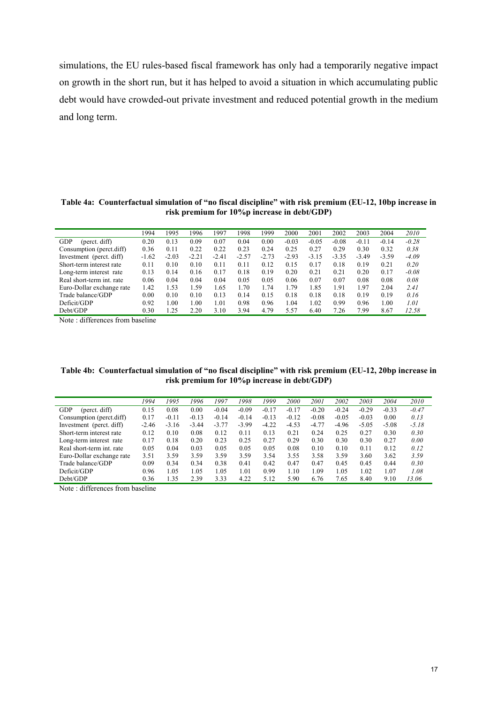simulations, the EU rules-based fiscal framework has only had a temporarily negative impact on growth in the short run, but it has helped to avoid a situation in which accumulating public debt would have crowded-out private investment and reduced potential growth in the medium and long term.

**Table 4a: Counterfactual simulation of "no fiscal discipline" with risk premium (EU-12, 10bp increase in risk premium for 10%p increase in debt/GDP)** 

| 1994    | 1995    | 1996    | 1997    | 1998    | 1999    | 2000    | 2001    | 2002    | 2003    | 2004    | 2010    |
|---------|---------|---------|---------|---------|---------|---------|---------|---------|---------|---------|---------|
| 0.20    | 0.13    | 0.09    | 0.07    | 0.04    | 0.00    | $-0.03$ | $-0.05$ | $-0.08$ | $-0.11$ | $-0.14$ | $-0.28$ |
| 0.36    | 0.11    | 0.22    | 0.22    | 0.23    | 0.24    | 0.25    | 0.27    | 0.29    | 0.30    | 0.32    | 0.38    |
| $-1.62$ | $-2.03$ | $-2.21$ | $-2.41$ | $-2.57$ | $-2.73$ | $-2.93$ | $-3.15$ | $-3.35$ | $-3.49$ | $-3.59$ | $-4.09$ |
| 0.11    | 0.10    | 0.10    | 0.11    | 0.11    | 0.12    | 0.15    | 0.17    | 0.18    | 0.19    | 0.21    | 0.20    |
| 0.13    | 0.14    | 0.16    | 0.17    | 0.18    | 0.19    | 0.20    | 0.21    | 0.21    | 0.20    | 0.17    | $-0.08$ |
| 0.06    | 0.04    | 0.04    | 0.04    | 0.05    | 0.05    | 0.06    | 0.07    | 0.07    | 0.08    | 0.08    | 0.08    |
| 1.42    | 1.53    | 1.59    | 1.65    | 1.70    | 1.74    | .79     | 1.85    | 1.91    | 1.97    | 2.04    | 2.41    |
| 0.00    | 0.10    | 0.10    | 0.13    | 0.14    | 0.15    | 0.18    | 0.18    | 0.18    | 0.19    | 0.19    | 0.16    |
| 0.92    | .00     | 1.00    | 1.01    | 0.98    | 0.96    | l.04    | 1.02    | 0.99    | 0.96    | 1.00    | 1.01    |
| 0.30    | .25     | 2.20    | 3.10    | 3.94    | 4.79    | 5.57    | 6.40    | 7.26    | 7.99    | 8.67    | 12.58   |
|         |         |         |         |         |         |         |         |         |         |         |         |

Note : differences from baseline

| Table 4b: Counterfactual simulation of "no fiscal discipline" with risk premium (EU-12, 20bp increase in |
|----------------------------------------------------------------------------------------------------------|
| risk premium for 10% p increase in debt/GDP)                                                             |

|                           | 1994    | 1995    | 1996    | 1997    | 1998    | 1999    | 2000    | 2001    | 2002    | 2003    | 2004    | 2010    |
|---------------------------|---------|---------|---------|---------|---------|---------|---------|---------|---------|---------|---------|---------|
| GDP<br>(perct. diff)      | 0.15    | 0.08    | 0.00    | $-0.04$ | $-0.09$ | $-0.17$ | $-0.17$ | $-0.20$ | $-0.24$ | $-0.29$ | $-0.33$ | $-0.47$ |
| Consumption (perct.diff)  | 0.17    | $-0.1$  | $-0.13$ | $-0.14$ | $-0.14$ | $-0.13$ | $-0.12$ | $-0.08$ | $-0.05$ | $-0.03$ | 0.00    | 0.13    |
| Investment (perct. diff)  | $-2.46$ | $-3.16$ | $-3.44$ | $-3.77$ | $-3.99$ | $-4.22$ | $-4.53$ | $-4.77$ | $-4.96$ | $-5.05$ | $-5.08$ | $-5.18$ |
| Short-term interest rate  | 0.12    | 0.10    | 0.08    | 0.12    | 0.11    | 0.13    | 0.21    | 0.24    | 0.25    | 0.27    | 0.30    | 0.30    |
| Long-term interest rate   | 0.17    | 0.18    | 0.20    | 0.23    | 0.25    | 0.27    | 0.29    | 0.30    | 0.30    | 0.30    | 0.27    | 0.00    |
| Real short-term int. rate | 0.05    | 0.04    | 0.03    | 0.05    | 0.05    | 0.05    | 0.08    | 0.10    | 0.10    | 0.11    | 0.12    | 0.12    |
| Euro-Dollar exchange rate | 3.51    | 3.59    | 3.59    | 3.59    | 3.59    | 3.54    | 3.55    | 3.58    | 3.59    | 3.60    | 3.62    | 3.59    |
| Trade balance/GDP         | 0.09    | 0.34    | 0.34    | 0.38    | 0.41    | 0.42    | 0.47    | 0.47    | 0.45    | 0.45    | 0.44    | 0.30    |
| Deficit/GDP               | 0.96    | 1.05    | 1.05    | 1.05    | 1.01    | 0.99    | 1.10    | 1.09    | 1.05    | 1.02    | 1.07    | 1.08    |
| Debt/GDP                  | 0.36    | 1.35    | 2.39    | 3.33    | 4.22    | 5.12    | 5.90    | 6.76    | 7.65    | 8.40    | 9.10    | 13.06   |
|                           |         |         |         |         |         |         |         |         |         |         |         |         |

Note : differences from baseline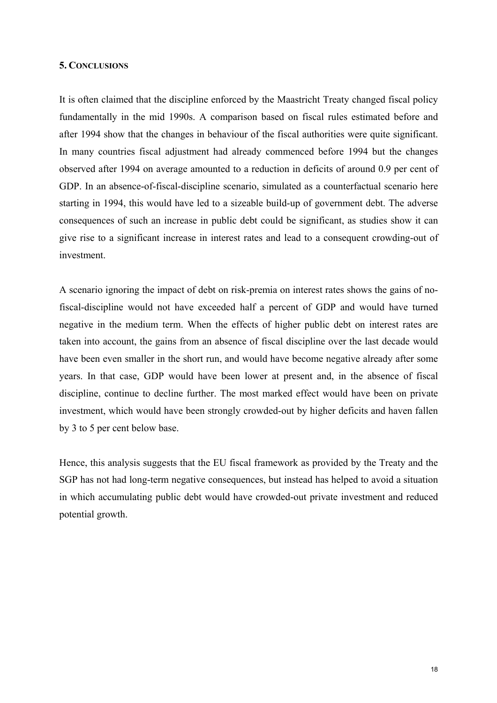#### **5. CONCLUSIONS**

It is often claimed that the discipline enforced by the Maastricht Treaty changed fiscal policy fundamentally in the mid 1990s. A comparison based on fiscal rules estimated before and after 1994 show that the changes in behaviour of the fiscal authorities were quite significant. In many countries fiscal adjustment had already commenced before 1994 but the changes observed after 1994 on average amounted to a reduction in deficits of around 0.9 per cent of GDP. In an absence-of-fiscal-discipline scenario, simulated as a counterfactual scenario here starting in 1994, this would have led to a sizeable build-up of government debt. The adverse consequences of such an increase in public debt could be significant, as studies show it can give rise to a significant increase in interest rates and lead to a consequent crowding-out of investment.

A scenario ignoring the impact of debt on risk-premia on interest rates shows the gains of nofiscal-discipline would not have exceeded half a percent of GDP and would have turned negative in the medium term. When the effects of higher public debt on interest rates are taken into account, the gains from an absence of fiscal discipline over the last decade would have been even smaller in the short run, and would have become negative already after some years. In that case, GDP would have been lower at present and, in the absence of fiscal discipline, continue to decline further. The most marked effect would have been on private investment, which would have been strongly crowded-out by higher deficits and haven fallen by 3 to 5 per cent below base.

Hence, this analysis suggests that the EU fiscal framework as provided by the Treaty and the SGP has not had long-term negative consequences, but instead has helped to avoid a situation in which accumulating public debt would have crowded-out private investment and reduced potential growth.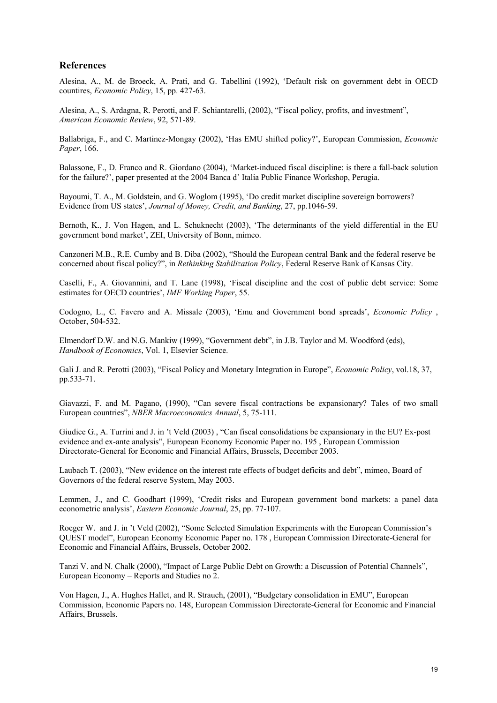### **References**

Alesina, A., M. de Broeck, A. Prati, and G. Tabellini (1992), 'Default risk on government debt in OECD countires, *Economic Policy*, 15, pp. 427-63.

Alesina, A., S. Ardagna, R. Perotti, and F. Schiantarelli, (2002), "Fiscal policy, profits, and investment", *American Economic Review*, 92, 571-89.

Ballabriga, F., and C. Martinez-Mongay (2002), 'Has EMU shifted policy?', European Commission, *Economic Paper*, 166.

Balassone, F., D. Franco and R. Giordano (2004), 'Market-induced fiscal discipline: is there a fall-back solution for the failure?', paper presented at the 2004 Banca d' Italia Public Finance Workshop, Perugia.

Bayoumi, T. A., M. Goldstein, and G. Woglom (1995), 'Do credit market discipline sovereign borrowers? Evidence from US states', *Journal of Money, Credit, and Banking*, 27, pp.1046-59.

Bernoth, K., J. Von Hagen, and L. Schuknecht (2003), 'The determinants of the yield differential in the EU government bond market', ZEI, University of Bonn, mimeo.

Canzoneri M.B., R.E. Cumby and B. Diba (2002), "Should the European central Bank and the federal reserve be concerned about fiscal policy?", in *Rethinking Stabilization Policy*, Federal Reserve Bank of Kansas City.

Caselli, F., A. Giovannini, and T. Lane (1998), 'Fiscal discipline and the cost of public debt service: Some estimates for OECD countries', *IMF Working Paper*, 55.

Codogno, L., C. Favero and A. Missale (2003), 'Emu and Government bond spreads', *Economic Policy* , October, 504-532.

Elmendorf D.W. and N.G. Mankiw (1999), "Government debt", in J.B. Taylor and M. Woodford (eds), *Handbook of Economics*, Vol. 1, Elsevier Science.

Gali J. and R. Perotti (2003), "Fiscal Policy and Monetary Integration in Europe", *Economic Policy*, vol.18, 37, pp.533-71.

Giavazzi, F. and M. Pagano, (1990), "Can severe fiscal contractions be expansionary? Tales of two small European countries", *NBER Macroeconomics Annual*, 5, 75-111.

Giudice G., A. Turrini and J. in 't Veld (2003) , "Can fiscal consolidations be expansionary in the EU? Ex-post evidence and ex-ante analysis", European Economy Economic Paper no. 195 , European Commission Directorate-General for Economic and Financial Affairs, Brussels, December 2003.

Laubach T. (2003), "New evidence on the interest rate effects of budget deficits and debt", mimeo, Board of Governors of the federal reserve System, May 2003.

Lemmen, J., and C. Goodhart (1999), 'Credit risks and European government bond markets: a panel data econometric analysis', *Eastern Economic Journal*, 25, pp. 77-107.

Roeger W. and J. in 't Veld (2002), "Some Selected Simulation Experiments with the European Commission's QUEST model", European Economy Economic Paper no. 178 , European Commission Directorate-General for Economic and Financial Affairs, Brussels, October 2002.

Tanzi V. and N. Chalk (2000), "Impact of Large Public Debt on Growth: a Discussion of Potential Channels", European Economy – Reports and Studies no 2.

Von Hagen, J., A. Hughes Hallet, and R. Strauch, (2001), "Budgetary consolidation in EMU", European Commission, Economic Papers no. 148, European Commission Directorate-General for Economic and Financial Affairs, Brussels.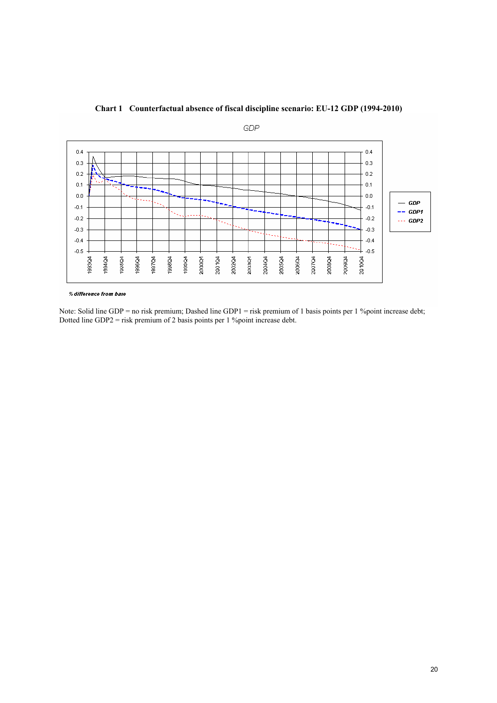



% difference from base

Note: Solid line GDP = no risk premium; Dashed line GDP1 = risk premium of 1 basis points per 1 %point increase debt; Dotted line GDP2 = risk premium of 2 basis points per 1 %point increase debt.